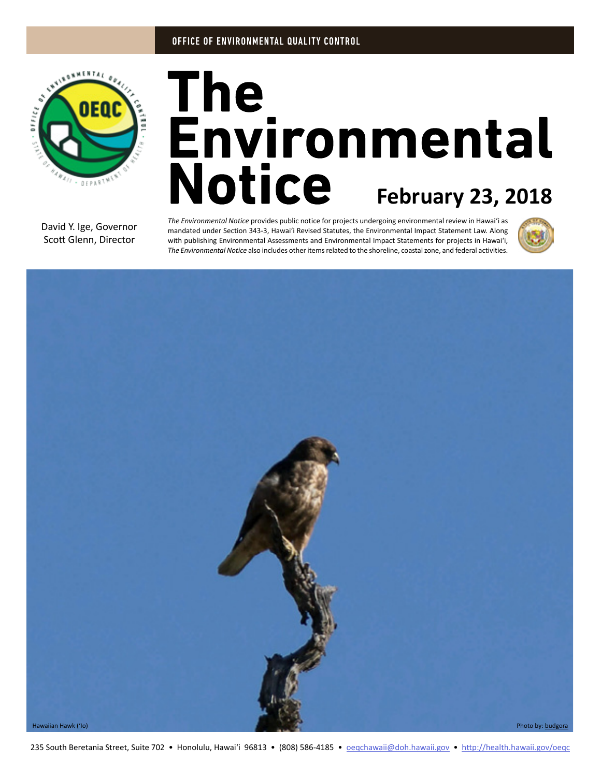

# The<br>Environmental **Notice** February 23, 2018

David Y. Ige, Governor Scott Glenn, Director

*The Environmental Notice* provides public notice for projects undergoing environmental review in Hawaiʻi as mandated under Section 343-3, Hawaiʻi Revised Statutes, the Environmental Impact Statement Law. Along with publishing Environmental Assessments and Environmental Impact Statements for projects in Hawaiʻi, *The Environmental Notice* also includes other items related to the shoreline, coastal zone, and federal activities.



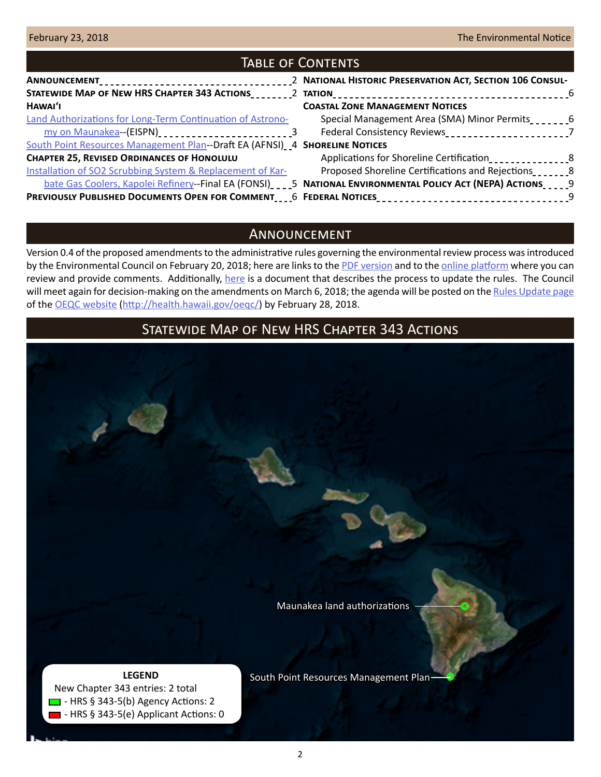| <b>TABLE OF CONTENTS</b>                                                                               |  |                                                                                                                   |  |
|--------------------------------------------------------------------------------------------------------|--|-------------------------------------------------------------------------------------------------------------------|--|
|                                                                                                        |  |                                                                                                                   |  |
|                                                                                                        |  |                                                                                                                   |  |
| HAWAI'I                                                                                                |  | <b>COASTAL ZONE MANAGEMENT NOTICES</b>                                                                            |  |
| <b>Land Authorizations for Long-Term Continuation of Astrono-</b>                                      |  | Special Management Area (SMA) Minor Permits                                                                       |  |
| my on Maunakea--(EISPN)<br>2012-2022-2022-2022-2022-2023                                               |  | Federal Consistency Reviews______________________________7                                                        |  |
| South Point Resources Management Plan--Draft EA (AFNSI) 4 SHORELINE NOTICES                            |  |                                                                                                                   |  |
| <b>CHAPTER 25, REVISED ORDINANCES OF HONOLULU</b>                                                      |  | Applications for Shoreline Certification                                                                          |  |
| Installation of SO2 Scrubbing System & Replacement of Kar-                                             |  | Proposed Shoreline Certifications and Rejections                                                                  |  |
|                                                                                                        |  | bate Gas Coolers, Kapolei Refinery--Final EA (FONSI) ____5 NATIONAL ENVIRONMENTAL POLICY ACT (NEPA) ACTIONS_____9 |  |
| PREVIOUSLY PUBLISHED DOCUMENTS OPEN FOR COMMENT____6 FEDERAL NOTICES_________________________________9 |  |                                                                                                                   |  |

## Announcement

Version 0.4 of the proposed amendments to the administrative rules governing the environmental review process was introduced by the Environmental Council on February 20, 2018; here are links to the [PDF version](http://oeqc2.doh.hawaii.gov/Laws/v0.4-Proposed-HAR-11-200.1_Draft.pdf) and to the [online platform](https://oeqc.civicomment.org/proposed-har-11-200.1-eis-rules) where you can review and provide comments. Additionally, [here](http://oeqc2.doh.hawaii.gov/Laws/v0.4-2018-02-21-EC-Rules-Update-Process.pdf) is a document that describes the process to update the rules. The Council will meet again for decision-making on the amendments on March 6, 2018; the agenda will be posted on the [Rules Update page](http://health.hawaii.gov/oeqc/rules-update/) of the [OEQC website](http://health.hawaii.gov/oeqc/) ([http://health.hawaii.gov/oeqc/\)](http://health.hawaii.gov/oeqc/) by February 28, 2018.

# Statewide Map of New HRS Chapter 343 Actions

[Maunakea land authorizations](#page-2-0)

### **LEGEND**

 New Chapter 343 entries: 2 total  $\Box$  - HRS § 343-5(b) Agency Actions: 2 - HRS § 343-5(e) Applicant Actions: 0 [South Point Resources Management Plan](#page-3-0)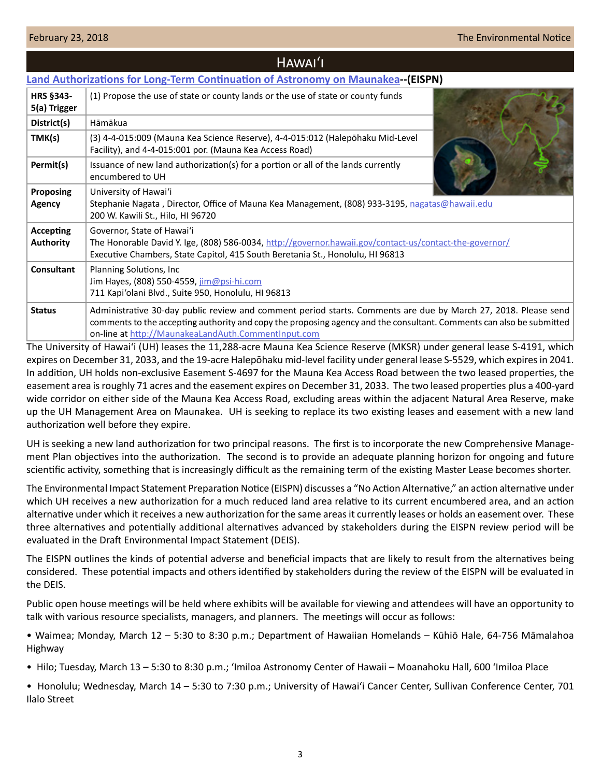<span id="page-2-0"></span>

| HAWAI'I                              |                                                                                                                                                                                                                                                                                               |  |
|--------------------------------------|-----------------------------------------------------------------------------------------------------------------------------------------------------------------------------------------------------------------------------------------------------------------------------------------------|--|
|                                      | <b>Land Authorizations for Long-Term Continuation of Astronomy on Maunakea--(EISPN)</b>                                                                                                                                                                                                       |  |
| <b>HRS §343-</b><br>5(a) Trigger     | (1) Propose the use of state or county lands or the use of state or county funds                                                                                                                                                                                                              |  |
| District(s)                          | Hāmākua                                                                                                                                                                                                                                                                                       |  |
| TMK(s)                               | (3) 4-4-015:009 (Mauna Kea Science Reserve), 4-4-015:012 (Halepōhaku Mid-Level<br>Facility), and 4-4-015:001 por. (Mauna Kea Access Road)                                                                                                                                                     |  |
| Permit(s)                            | Issuance of new land authorization(s) for a portion or all of the lands currently<br>encumbered to UH                                                                                                                                                                                         |  |
| Proposing<br>Agency                  | University of Hawai'i<br>Stephanie Nagata, Director, Office of Mauna Kea Management, (808) 933-3195, nagatas@hawaii.edu<br>200 W. Kawili St., Hilo, HI 96720                                                                                                                                  |  |
| <b>Accepting</b><br><b>Authority</b> | Governor, State of Hawai'i<br>The Honorable David Y. Ige, (808) 586-0034, http://governor.hawaii.gov/contact-us/contact-the-governor/<br>Executive Chambers, State Capitol, 415 South Beretania St., Honolulu, HI 96813                                                                       |  |
| Consultant                           | Planning Solutions, Inc<br>Jim Hayes, (808) 550-4559, jim@psi-hi.com<br>711 Kapi'olani Blvd., Suite 950, Honolulu, HI 96813                                                                                                                                                                   |  |
| <b>Status</b>                        | Administrative 30-day public review and comment period starts. Comments are due by March 27, 2018. Please send<br>comments to the accepting authority and copy the proposing agency and the consultant. Comments can also be submitted<br>on-line at http://MaunakeaLandAuth.CommentInput.com |  |

The University of Hawai'i (UH) leases the 11,288-acre Mauna Kea Science Reserve (MKSR) under general lease S-4191, which expires on December 31, 2033, and the 19-acre Halepōhaku mid-level facility under general lease S-5529, which expires in 2041. In addition, UH holds non-exclusive Easement S-4697 for the Mauna Kea Access Road between the two leased properties, the easement area is roughly 71 acres and the easement expires on December 31, 2033. The two leased properties plus a 400-yard wide corridor on either side of the Mauna Kea Access Road, excluding areas within the adjacent Natural Area Reserve, make up the UH Management Area on Maunakea. UH is seeking to replace its two existing leases and easement with a new land authorization well before they expire.

UH is seeking a new land authorization for two principal reasons. The first is to incorporate the new Comprehensive Management Plan objectives into the authorization. The second is to provide an adequate planning horizon for ongoing and future scientific activity, something that is increasingly difficult as the remaining term of the existing Master Lease becomes shorter.

The Environmental Impact Statement Preparation Notice (EISPN) discusses a "No Action Alternative," an action alternative under which UH receives a new authorization for a much reduced land area relative to its current encumbered area, and an action alternative under which it receives a new authorization for the same areas it currently leases or holds an easement over. These three alternatives and potentially additional alternatives advanced by stakeholders during the EISPN review period will be evaluated in the Draft Environmental Impact Statement (DEIS).

The EISPN outlines the kinds of potential adverse and beneficial impacts that are likely to result from the alternatives being considered. These potential impacts and others identified by stakeholders during the review of the EISPN will be evaluated in the DEIS.

Public open house meetings will be held where exhibits will be available for viewing and attendees will have an opportunity to talk with various resource specialists, managers, and planners. The meetings will occur as follows:

• Waimea; Monday, March 12 – 5:30 to 8:30 p.m.; Department of Hawaiian Homelands – Kūhiō Hale, 64-756 Māmalahoa Highway

• Hilo; Tuesday, March 13 – 5:30 to 8:30 p.m.; 'Imiloa Astronomy Center of Hawaii – Moanahoku Hall, 600 'Imiloa Place

• Honolulu; Wednesday, March 14 – 5:30 to 7:30 p.m.; University of Hawai'i Cancer Center, Sullivan Conference Center, 701 Ilalo Street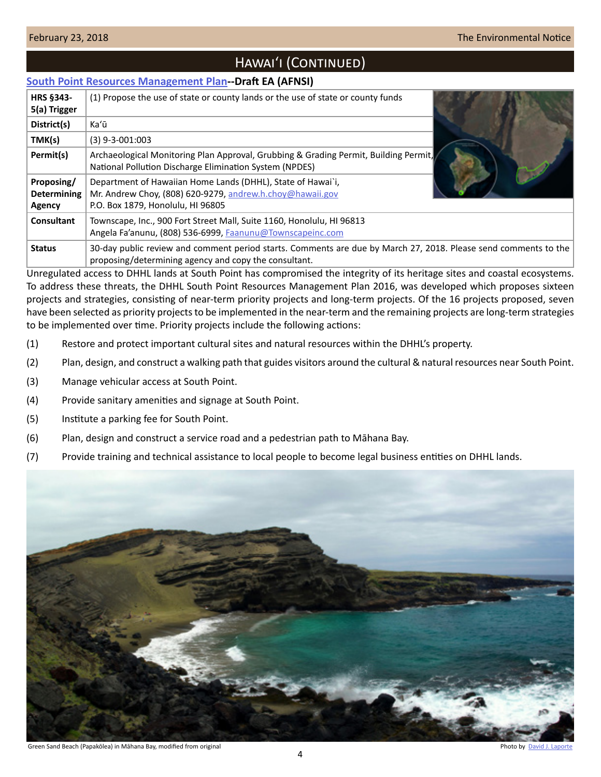# HAWAI'I (CONTINUED)

## <span id="page-3-0"></span>**[South Point Resources Management Plan-](http://oeqc2.doh.hawaii.gov/EA_EIS_Library/2018-02-23-HA-DEA-South-Point-Resources-Management-Plan.pdf)-Draft EA (AFNSI)**

| <b>HRS §343-</b><br>5(a) Trigger           | (1) Propose the use of state or county lands or the use of state or county funds                                                                                         |
|--------------------------------------------|--------------------------------------------------------------------------------------------------------------------------------------------------------------------------|
| District(s)                                | Ka'ū                                                                                                                                                                     |
| TMK(s)                                     | $(3)$ 9-3-001:003                                                                                                                                                        |
| Permit(s)                                  | Archaeological Monitoring Plan Approval, Grubbing & Grading Permit, Building Permit,<br>National Pollution Discharge Elimination System (NPDES)                          |
| Proposing/<br><b>Determining</b><br>Agency | Department of Hawaiian Home Lands (DHHL), State of Hawai'i,<br>Mr. Andrew Choy, (808) 620-9279, andrew.h.choy@hawaii.gov<br>P.O. Box 1879, Honolulu, HI 96805            |
| Consultant                                 | Townscape, Inc., 900 Fort Street Mall, Suite 1160, Honolulu, HI 96813<br>Angela Fa'anunu, (808) 536-6999, Faanunu@Townscapeinc.com                                       |
| <b>Status</b>                              | 30-day public review and comment period starts. Comments are due by March 27, 2018. Please send comments to the<br>proposing/determining agency and copy the consultant. |

Unregulated access to DHHL lands at South Point has compromised the integrity of its heritage sites and coastal ecosystems. To address these threats, the DHHL South Point Resources Management Plan 2016, was developed which proposes sixteen projects and strategies, consisting of near-term priority projects and long-term projects. Of the 16 projects proposed, seven have been selected as priority projects to be implemented in the near-term and the remaining projects are long-term strategies to be implemented over time. Priority projects include the following actions:

- (1) Restore and protect important cultural sites and natural resources within the DHHL's property.
- (2) Plan, design, and construct a walking path that guides visitors around the cultural & natural resources near South Point.
- (3) Manage vehicular access at South Point.
- (4) Provide sanitary amenities and signage at South Point.
- (5) Institute a parking fee for South Point.
- (6) Plan, design and construct a service road and a pedestrian path to Māhana Bay.
- (7) Provide training and technical assistance to local people to become legal business entities on DHHL lands.

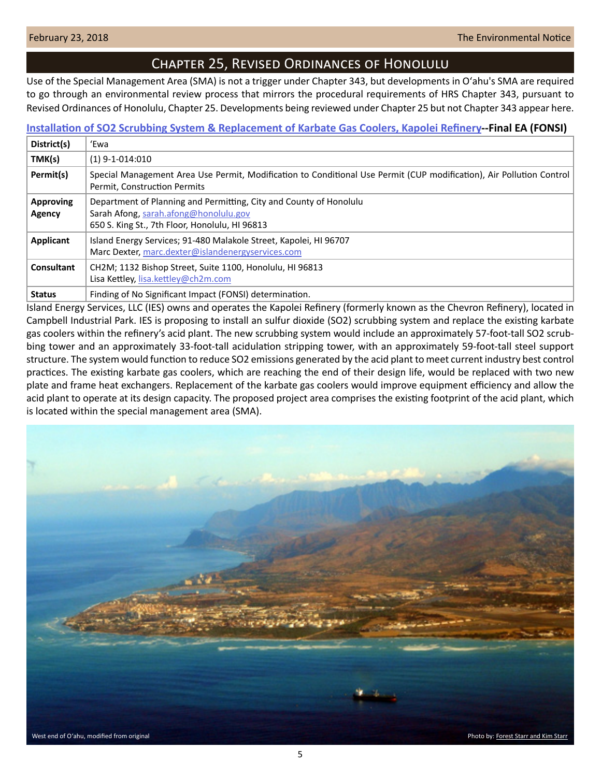<span id="page-4-0"></span>

## Chapter 25, Revised Ordinances of Honolulu

Use of the Special Management Area (SMA) is not a trigger under Chapter 343, but developments in Oʻahu's SMA are required to go through an environmental review process that mirrors the procedural requirements of HRS Chapter 343, pursuant to Revised Ordinances of Honolulu, Chapter 25. Developments being reviewed under Chapter 25 but not Chapter 343 appear here.

## **[Installation of SO2 Scrubbing System & Replacement of Karbate Gas Coolers, Kapolei Refinery-](http://oeqc2.doh.hawaii.gov/Other_TEN_Publications/2018-02-23-OA-Chapter-25-FEA-IES-Acid-Plant-Improvements.pdf)-Final EA (FONSI)**

| District(s)                | 'Ewa                                                                                                                                                          |
|----------------------------|---------------------------------------------------------------------------------------------------------------------------------------------------------------|
| TMK(s)                     | $(1)$ 9-1-014:010                                                                                                                                             |
| Permit(s)                  | Special Management Area Use Permit, Modification to Conditional Use Permit (CUP modification), Air Pollution Control  <br>Permit, Construction Permits        |
| <b>Approving</b><br>Agency | Department of Planning and Permitting, City and County of Honolulu<br>Sarah Afong, sarah.afong@honolulu.gov<br>650 S. King St., 7th Floor, Honolulu, HI 96813 |
| Applicant                  | Island Energy Services; 91-480 Malakole Street, Kapolei, HI 96707<br>Marc Dexter, marc.dexter@islandenergyservices.com                                        |
| Consultant                 | CH2M; 1132 Bishop Street, Suite 1100, Honolulu, HI 96813<br>Lisa Kettley, lisa.kettley@ch2m.com                                                               |
| <b>Status</b>              | Finding of No Significant Impact (FONSI) determination.                                                                                                       |

Island Energy Services, LLC (IES) owns and operates the Kapolei Refinery (formerly known as the Chevron Refinery), located in Campbell Industrial Park. IES is proposing to install an sulfur dioxide (SO2) scrubbing system and replace the existing karbate gas coolers within the refinery's acid plant. The new scrubbing system would include an approximately 57-foot-tall SO2 scrubbing tower and an approximately 33-foot-tall acidulation stripping tower, with an approximately 59-foot-tall steel support structure. The system would function to reduce SO2 emissions generated by the acid plant to meet current industry best control practices. The existing karbate gas coolers, which are reaching the end of their design life, would be replaced with two new plate and frame heat exchangers. Replacement of the karbate gas coolers would improve equipment efficiency and allow the acid plant to operate at its design capacity. The proposed project area comprises the existing footprint of the acid plant, which is located within the special management area (SMA).

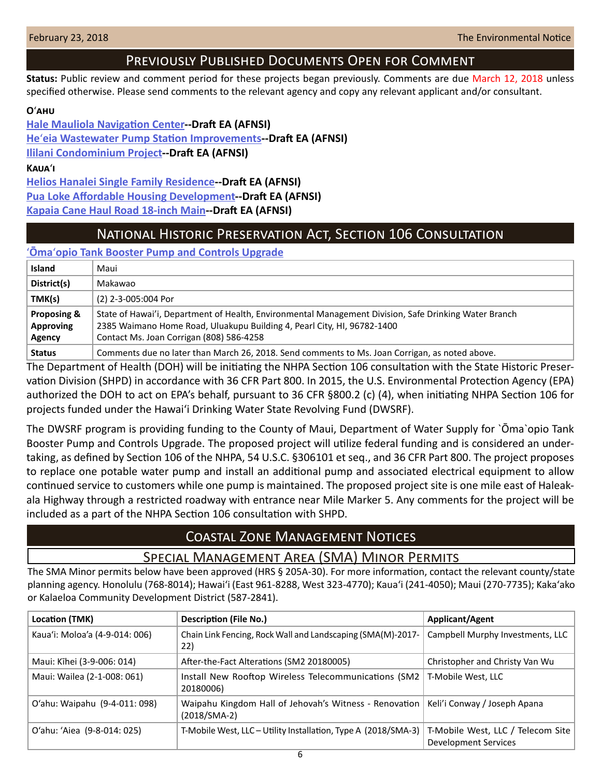## Previously Published Documents Open for Comment

<span id="page-5-0"></span>**Status:** Public review and comment period for these projects began previously. Comments are due March 12, 2018 unless specified otherwise. Please send comments to the relevant agency and copy any relevant applicant and/or consultant.

## **O**ʻ**ahu**

**[Hale Mauliola Navigation Center-](http://oeqc2.doh.hawaii.gov/EA_EIS_Library/2018-02-08-OA-DEA-Hale-Mauliola-Navigation-Service-Center.pdf)-Draft EA (AFNSI) He**ʻ**[eia Wastewater Pump Station Improvements](http://oeqc2.doh.hawaii.gov/EA_EIS_Library/2018-02-08-OA-DEA-Heeia-Wastewater-Pump-Station-Improvements.pdf)--Draft EA (AFNSI) [Ililani Condominium Project](http://oeqc2.doh.hawaii.gov/EA_EIS_Library/2018-02-08-OA-DEA-Ililani-Condominium.pdf)--Draft EA (AFNSI)**

**Kaua**ʻ**i**

**[Helios Hanalei Single Family Residence-](http://oeqc2.doh.hawaii.gov/EA_EIS_Library/2018-02-08-KA-DEA-Helios-Hanalei-Single-Family-Residence.pdf)-Draft EA (AFNSI) [Pua Loke Affordable Housing Development-](http://oeqc2.doh.hawaii.gov/EA_EIS_Library/2018-02-08-KA-DEA-Pua-Loke-Affordable-Housing-Development.pdf)-Draft EA (AFNSI) [Kapaia Cane Haul Road 18-inch Main-](http://oeqc2.doh.hawaii.gov/EA_EIS_Library/2018-02-08-KA-DEA-Kapaia-Cane-Haul-Road-Main.pdf)-Draft EA (AFNSI)**

# National Historic Preservation Act, Section 106 Consultation

ʻ**Ōma**ʻ**[opio Tank Booster Pump and Controls Upgrade](http://oeqc2.doh.hawaii.gov/Other_TEN_Publications/2018-02-23-MA-Section-106-Omaopio-Tank-Booster-Pump-and-Controls-Upgrade.pdf)**

| <b>Island</b> | Maui                                                                                                  |
|---------------|-------------------------------------------------------------------------------------------------------|
| District(s)   | Makawao                                                                                               |
| TMK(s)        | (2) 2-3-005:004 Por                                                                                   |
| Proposing &   | State of Hawai'i, Department of Health, Environmental Management Division, Safe Drinking Water Branch |
| Approving     | 2385 Waimano Home Road, Uluakupu Building 4, Pearl City, HI, 96782-1400                               |
| Agency        | Contact Ms. Joan Corrigan (808) 586-4258                                                              |
| <b>Status</b> | Comments due no later than March 26, 2018. Send comments to Ms. Joan Corrigan, as noted above.        |

The Department of Health (DOH) will be initiating the NHPA Section 106 consultation with the State Historic Preservation Division (SHPD) in accordance with 36 CFR Part 800. In 2015, the U.S. Environmental Protection Agency (EPA) authorized the DOH to act on EPA's behalf, pursuant to 36 CFR §800.2 (c) (4), when initiating NHPA Section 106 for projects funded under the Hawai'i Drinking Water State Revolving Fund (DWSRF).

The DWSRF program is providing funding to the County of Maui, Department of Water Supply for `Ōma`opio Tank Booster Pump and Controls Upgrade. The proposed project will utilize federal funding and is considered an undertaking, as defined by Section 106 of the NHPA, 54 U.S.C. §306101 et seq., and 36 CFR Part 800. The project proposes to replace one potable water pump and install an additional pump and associated electrical equipment to allow continued service to customers while one pump is maintained. The proposed project site is one mile east of Haleakala Highway through a restricted roadway with entrance near Mile Marker 5. Any comments for the project will be included as a part of the NHPA Section 106 consultation with SHPD.

# Coastal Zone Management Notices

## Special Management Area (SMA) Minor Permits

The SMA Minor permits below have been approved (HRS § 205A-30). For more information, contact the relevant county/state planning agency. Honolulu (768-8014); Hawaiʻi (East 961-8288, West 323-4770); Kauaʻi (241-4050); Maui (270-7735); Kakaʻako or Kalaeloa Community Development District (587-2841).

| Location (TMK)                 | <b>Description (File No.)</b>                                            | Applicant/Agent                                           |
|--------------------------------|--------------------------------------------------------------------------|-----------------------------------------------------------|
| Kaua'i: Moloa'a (4-9-014: 006) | Chain Link Fencing, Rock Wall and Landscaping (SMA(M)-2017-<br>22)       | Campbell Murphy Investments, LLC                          |
| Maui: Kīhei (3-9-006: 014)     | After-the-Fact Alterations (SM2 20180005)                                | Christopher and Christy Van Wu                            |
| Maui: Wailea (2-1-008: 061)    | Install New Rooftop Wireless Telecommunications (SM2<br>20180006)        | T-Mobile West, LLC                                        |
| O'ahu: Waipahu (9-4-011: 098)  | Waipahu Kingdom Hall of Jehovah's Witness - Renovation<br>$(2018/SMA-2)$ | Keli'i Conway / Joseph Apana                              |
| O'ahu: 'Aiea (9-8-014: 025)    | T-Mobile West, LLC - Utility Installation, Type A (2018/SMA-3)           | T-Mobile West, LLC / Telecom Site<br>Development Services |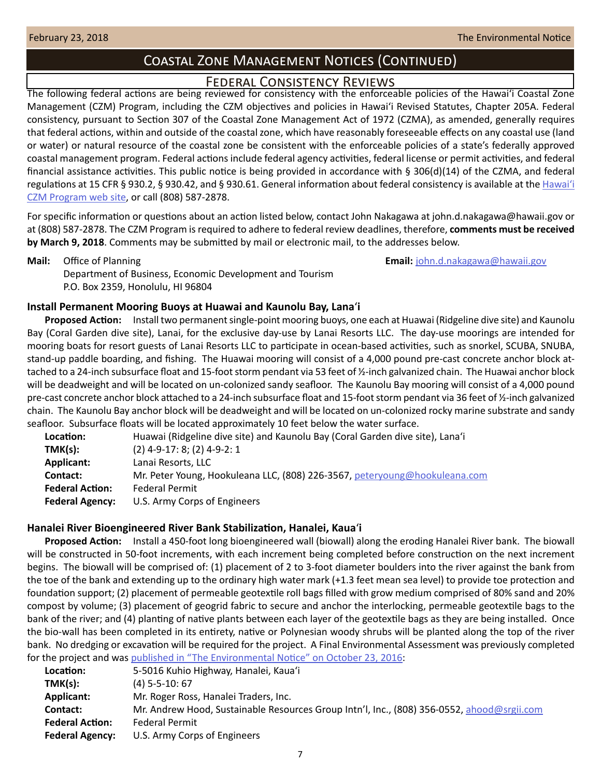# Coastal Zone Management Notices (Continued)

## Federal Consistency Reviews

<span id="page-6-0"></span>The following federal actions are being reviewed for consistency with the enforceable policies of the Hawaiʻi Coastal Zone Management (CZM) Program, including the CZM objectives and policies in Hawaiʻi Revised Statutes, Chapter 205A. Federal consistency, pursuant to Section 307 of the Coastal Zone Management Act of 1972 (CZMA), as amended, generally requires that federal actions, within and outside of the coastal zone, which have reasonably foreseeable effects on any coastal use (land or water) or natural resource of the coastal zone be consistent with the enforceable policies of a state's federally approved coastal management program. Federal actions include federal agency activities, federal license or permit activities, and federal financial assistance activities. This public notice is being provided in accordance with § 306(d)(14) of the CZMA, and federal regulations at 15 CFR § 930.2, § 930.42, and § 930.61. General information about federal consistency is available at the [Hawai](http://planning.hawaii.gov/czm/federal-consistency/)ʻi [CZM Program web site](http://planning.hawaii.gov/czm/federal-consistency/), or call (808) 587-2878.

For specific information or questions about an action listed below, contact John Nakagawa at john.d.nakagawa@hawaii.gov or at (808) 587-2878. The CZM Program is required to adhere to federal review deadlines, therefore, **comments must be received by March 9, 2018**. Comments may be submitted by mail or electronic mail, to the addresses below.

**Mail:** Office of Planning **Email:** [john.d.nakagawa@hawaii.gov](mailto:john.d.nakagawa@hawaii.gov)

Department of Business, Economic Development and Tourism P.O. Box 2359, Honolulu, HI 96804

## **Install Permanent Mooring Buoys at Huawai and Kaunolu Bay, Lana**ʻ**i**

**Proposed Action:** Install two permanent single-point mooring buoys, one each at Huawai (Ridgeline dive site) and Kaunolu Bay (Coral Garden dive site), Lanai, for the exclusive day-use by Lanai Resorts LLC. The day-use moorings are intended for mooring boats for resort guests of Lanai Resorts LLC to participate in ocean-based activities, such as snorkel, SCUBA, SNUBA, stand-up paddle boarding, and fishing. The Huawai mooring will consist of a 4,000 pound pre-cast concrete anchor block attached to a 24-inch subsurface float and 15-foot storm pendant via 53 feet of ½-inch galvanized chain. The Huawai anchor block will be deadweight and will be located on un-colonized sandy seafloor. The Kaunolu Bay mooring will consist of a 4,000 pound pre-cast concrete anchor block attached to a 24-inch subsurface float and 15-foot storm pendant via 36 feet of ½-inch galvanized chain. The Kaunolu Bay anchor block will be deadweight and will be located on un-colonized rocky marine substrate and sandy seafloor. Subsurface floats will be located approximately 10 feet below the water surface.

| Location:              | Huawai (Ridgeline dive site) and Kaunolu Bay (Coral Garden dive site), Lana'i |
|------------------------|-------------------------------------------------------------------------------|
| TMK(s):                | $(2)$ 4-9-17: 8; (2) 4-9-2: 1                                                 |
| <b>Applicant:</b>      | Lanai Resorts, LLC                                                            |
| Contact:               | Mr. Peter Young, Hookuleana LLC, (808) 226-3567, peteryoung@hookuleana.com    |
| <b>Federal Action:</b> | <b>Federal Permit</b>                                                         |
| <b>Federal Agency:</b> | U.S. Army Corps of Engineers                                                  |

## **Hanalei River Bioengineered River Bank Stabilization, Hanalei, Kaua**ʻ**i**

**Proposed Action:** Install a 450-foot long bioengineered wall (biowall) along the eroding Hanalei River bank. The biowall will be constructed in 50-foot increments, with each increment being completed before construction on the next increment begins. The biowall will be comprised of: (1) placement of 2 to 3-foot diameter boulders into the river against the bank from the toe of the bank and extending up to the ordinary high water mark (+1.3 feet mean sea level) to provide toe protection and foundation support; (2) placement of permeable geotextile roll bags filled with grow medium comprised of 80% sand and 20% compost by volume; (3) placement of geogrid fabric to secure and anchor the interlocking, permeable geotextile bags to the bank of the river; and (4) planting of native plants between each layer of the geotextile bags as they are being installed. Once the bio-wall has been completed in its entirety, native or Polynesian woody shrubs will be planted along the top of the river bank. No dredging or excavation will be required for the project. A Final Environmental Assessment was previously completed for the project and was [published in "The Environmental Notice" on October 23, 2016](http://oeqc2.doh.hawaii.gov/The_Environmental_Notice/2016-10-23-TEN.pdf):

| Location:              | 5-5016 Kuhio Highway, Hanalei, Kaua'i                                                      |
|------------------------|--------------------------------------------------------------------------------------------|
| TMK(s):                | $(4)$ 5-5-10: 67                                                                           |
| Applicant:             | Mr. Roger Ross, Hanalei Traders, Inc.                                                      |
| Contact:               | Mr. Andrew Hood, Sustainable Resources Group Intn'l, Inc., (808) 356-0552, ahood@srgii.com |
| <b>Federal Action:</b> | Federal Permit                                                                             |
| <b>Federal Agency:</b> | U.S. Army Corps of Engineers                                                               |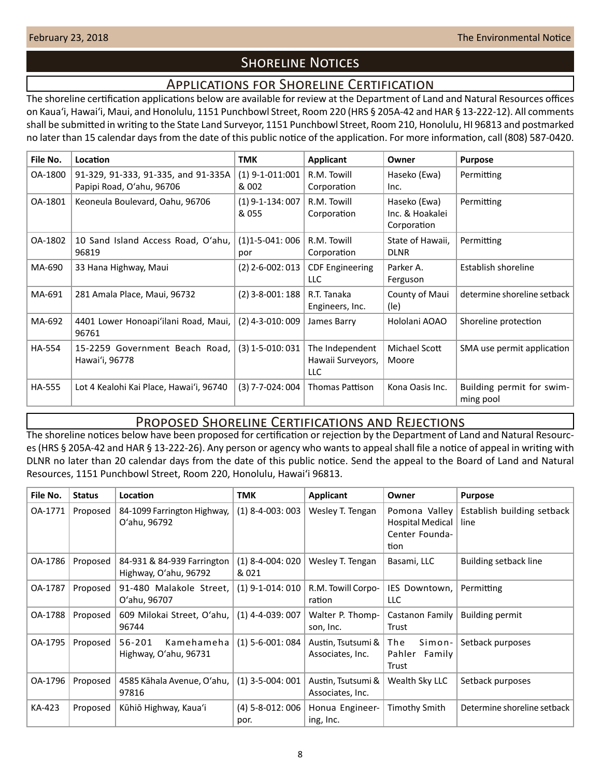# **SHORELINE NOTICES**

## Applications for Shoreline Certification

<span id="page-7-0"></span>The shoreline certification applications below are available for review at the Department of Land and Natural Resources offices on Kauaʻi, Hawaiʻi, Maui, and Honolulu, 1151 Punchbowl Street, Room 220 (HRS § 205A-42 and HAR § 13-222-12). All comments shall be submitted in writing to the State Land Surveyor, 1151 Punchbowl Street, Room 210, Honolulu, HI 96813 and postmarked no later than 15 calendar days from the date of this public notice of the application. For more information, call (808) 587-0420.

| File No.      | Location                                                         | <b>TMK</b>                  | <b>Applicant</b>                                   | Owner                                          | <b>Purpose</b>                         |
|---------------|------------------------------------------------------------------|-----------------------------|----------------------------------------------------|------------------------------------------------|----------------------------------------|
| OA-1800       | 91-329, 91-333, 91-335, and 91-335A<br>Papipi Road, O'ahu, 96706 | $(1)$ 9-1-011:001<br>& 002  | R.M. Towill<br>Corporation                         | Haseko (Ewa)<br>Inc.                           | Permitting                             |
| OA-1801       | Keoneula Boulevard, Oahu, 96706                                  | $(1)$ 9-1-134: 007<br>& 055 | R.M. Towill<br>Corporation                         | Haseko (Ewa)<br>Inc. & Hoakalei<br>Corporation | Permitting                             |
| OA-1802       | 10 Sand Island Access Road, O'ahu,<br>96819                      | $(1)1 - 5 - 041:006$<br>por | R.M. Towill<br>Corporation                         | State of Hawaii,<br><b>DLNR</b>                | Permitting                             |
| MA-690        | 33 Hana Highway, Maui                                            | $(2)$ 2-6-002: 013          | <b>CDF Engineering</b><br>LLC                      | Parker A.<br>Ferguson                          | Establish shoreline                    |
| MA-691        | 281 Amala Place, Maui, 96732                                     | $(2)$ 3-8-001: 188          | R.T. Tanaka<br>Engineers, Inc.                     | County of Maui<br>(le)                         | determine shoreline setback            |
| MA-692        | 4401 Lower Honoapi'ilani Road, Maui,<br>96761                    | $(2)$ 4-3-010: 009          | James Barry                                        | Hololani AOAO                                  | Shoreline protection                   |
| <b>HA-554</b> | 15-2259 Government Beach Road,<br>Hawai'i, 96778                 | $(3)$ 1-5-010: 031          | The Independent<br>Hawaii Surveyors,<br><b>LLC</b> | Michael Scott<br>Moore                         | SMA use permit application             |
| <b>HA-555</b> | Lot 4 Kealohi Kai Place, Hawai'i, 96740                          | $(3)$ 7-7-024: 004          | <b>Thomas Pattison</b>                             | Kona Oasis Inc.                                | Building permit for swim-<br>ming pool |

## Proposed Shoreline Certifications and Rejections

The shoreline notices below have been proposed for certification or rejection by the Department of Land and Natural Resources (HRS § 205A-42 and HAR § 13-222-26). Any person or agency who wants to appeal shall file a notice of appeal in writing with DLNR no later than 20 calendar days from the date of this public notice. Send the appeal to the Board of Land and Natural Resources, 1151 Punchbowl Street, Room 220, Honolulu, Hawai'i 96813.

| File No. | <b>Status</b> | Location                                            | <b>TMK</b>                  | <b>Applicant</b>                       | Owner                                                              | <b>Purpose</b>                     |
|----------|---------------|-----------------------------------------------------|-----------------------------|----------------------------------------|--------------------------------------------------------------------|------------------------------------|
| OA-1771  | Proposed      | 84-1099 Farrington Highway,<br>O'ahu, 96792         | $(1)$ 8-4-003: 003          | Wesley T. Tengan                       | Pomona Valley<br><b>Hospital Medical</b><br>Center Founda-<br>tion | Establish building setback<br>line |
| OA-1786  | Proposed      | 84-931 & 84-939 Farrington<br>Highway, O'ahu, 96792 | $(1)$ 8-4-004: 020<br>& 021 | Wesley T. Tengan                       | Basami, LLC                                                        | Building setback line              |
| OA-1787  | Proposed      | 91-480 Malakole Street,<br>O'ahu, 96707             | $(1)$ 9-1-014: 010          | R.M. Towill Corpo-<br>ration           | IES Downtown.<br>LLC.                                              | Permitting                         |
| OA-1788  | Proposed      | 609 Milokai Street, O'ahu,<br>96744                 | $(1)$ 4-4-039: 007          | Walter P. Thomp-<br>son, Inc.          | Castanon Family<br>Trust                                           | <b>Building permit</b>             |
| OA-1795  | Proposed      | 56-201<br>Kamehameha<br>Highway, O'ahu, 96731       | $(1)$ 5-6-001: 084          | Austin, Tsutsumi &<br>Associates, Inc. | The<br>Simon-<br>Pahler<br>Family<br>Trust                         | Setback purposes                   |
| OA-1796  | Proposed      | 4585 Kāhala Avenue, O'ahu,<br>97816                 | $(1)$ 3-5-004: 001          | Austin, Tsutsumi &<br>Associates, Inc. | Wealth Sky LLC                                                     | Setback purposes                   |
| KA-423   | Proposed      | Kūhiō Highway, Kaua'i                               | (4) 5-8-012: 006<br>por.    | Honua Engineer-<br>ing, Inc.           | Timothy Smith                                                      | Determine shoreline setback        |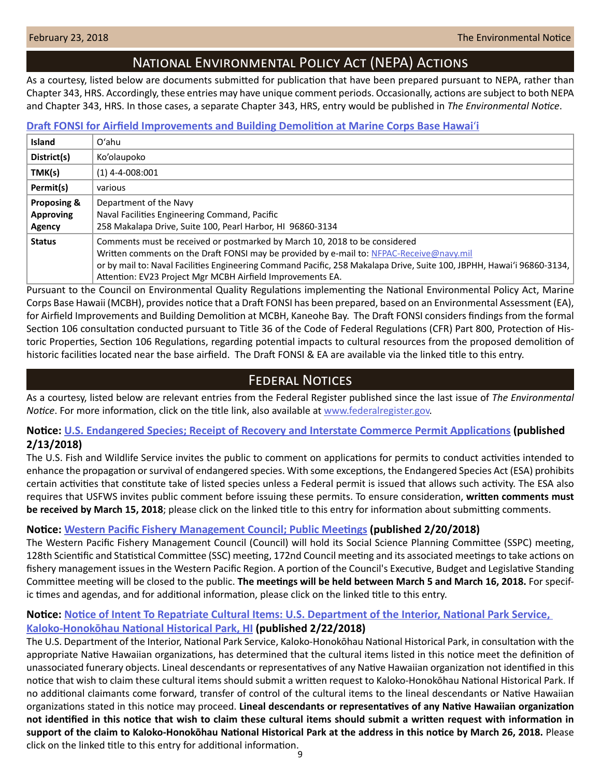# National Environmental Policy Act (NEPA) Actions

<span id="page-8-0"></span>As a courtesy, listed below are documents submitted for publication that have been prepared pursuant to NEPA, rather than Chapter 343, HRS. Accordingly, these entries may have unique comment periods. Occasionally, actions are subject to both NEPA and Chapter 343, HRS. In those cases, a separate Chapter 343, HRS, entry would be published in *The Environmental Notice*.

## **[Draft FONSI for Airfield Improvements and Building Demolition at Marine Corps Base Hawai](http://www.mcbhawaii.marines.mil/unit-home/featured-information/airfield-improvements/)**ʻ**i**

| <b>Island</b>                             | $O'$ ahu                                                                                                                                                                                                                                                                                                                                                       |
|-------------------------------------------|----------------------------------------------------------------------------------------------------------------------------------------------------------------------------------------------------------------------------------------------------------------------------------------------------------------------------------------------------------------|
| District(s)                               | Ko'olaupoko                                                                                                                                                                                                                                                                                                                                                    |
| TMK(s)                                    | $(1)$ 4-4-008:001                                                                                                                                                                                                                                                                                                                                              |
| Permit(s)                                 | various                                                                                                                                                                                                                                                                                                                                                        |
| Proposing &<br><b>Approving</b><br>Agency | Department of the Navy<br>Naval Facilities Engineering Command, Pacific<br>258 Makalapa Drive, Suite 100, Pearl Harbor, HI 96860-3134                                                                                                                                                                                                                          |
| <b>Status</b>                             | Comments must be received or postmarked by March 10, 2018 to be considered<br>Written comments on the Draft FONSI may be provided by e-mail to: NFPAC-Receive@navy.mil<br>or by mail to: Naval Facilities Engineering Command Pacific, 258 Makalapa Drive, Suite 100, JBPHH, Hawai'i 96860-3134,<br>Attention: EV23 Project Mgr MCBH Airfield Improvements EA. |

Pursuant to the Council on Environmental Quality Regulations implementing the National Environmental Policy Act, Marine Corps Base Hawaii (MCBH), provides notice that a Draft FONSI has been prepared, based on an Environmental Assessment (EA), for Airfield Improvements and Building Demolition at MCBH, Kaneohe Bay. The Draft FONSI considers findings from the formal Section 106 consultation conducted pursuant to Title 36 of the Code of Federal Regulations (CFR) Part 800, Protection of Historic Properties, Section 106 Regulations, regarding potential impacts to cultural resources from the proposed demolition of historic facilities located near the base airfield. The Draft FONSI & EA are available via the linked title to this entry.

# **FEDERAL NOTICES**

As a courtesy, listed below are relevant entries from the Federal Register published since the last issue of *The Environmental Notice*. For more information, click on the title link, also available at [www.federalregister.gov.](http://www.federalregister.gov)

## **Notice: [U.S. Endangered Species; Receipt of Recovery and Interstate Commerce Permit Applications](https://www.federalregister.gov/documents/2018/02/13/2018-02878/us-endangered-species-receipt-of-recovery-and-interstate-commerce-permit-applications) (published 2/13/2018)**

The U.S. Fish and Wildlife Service invites the public to comment on applications for permits to conduct activities intended to enhance the propagation or survival of endangered species. With some exceptions, the Endangered Species Act (ESA) prohibits certain activities that constitute take of listed species unless a Federal permit is issued that allows such activity. The ESA also requires that USFWS invites public comment before issuing these permits. To ensure consideration, **written comments must be received by March 15, 2018**; please click on the linked title to this entry for information about submitting comments.

## **Notice: [Western Pacific Fishery Management Council; Public Meetings](https://www.federalregister.gov/documents/2018/02/20/2018-03413/western-pacific-fishery-management-council-public-meetings) (published 2/20/2018)**

The Western Pacific Fishery Management Council (Council) will hold its Social Science Planning Committee (SSPC) meeting, 128th Scientific and Statistical Committee (SSC) meeting, 172nd Council meeting and its associated meetings to take actions on fishery management issues in the Western Pacific Region. A portion of the Council's Executive, Budget and Legislative Standing Committee meeting will be closed to the public. **The meetings will be held between March 5 and March 16, 2018.** For specific times and agendas, and for additional information, please click on the linked title to this entry.

## **Notice: [Notice of Intent To Repatriate Cultural Items: U.S. Department of the Interior, National Park Service,](https://www.federalregister.gov/documents/2018/02/22/2018-03637/notice-of-intent-to-repatriate-cultural-items-us-department-of-the-interior-national-park-service)**

## **[Kaloko-Honokōhau National Historical Park, HI](https://www.federalregister.gov/documents/2018/02/22/2018-03637/notice-of-intent-to-repatriate-cultural-items-us-department-of-the-interior-national-park-service) (published 2/22/2018)**

The U.S. Department of the Interior, National Park Service, Kaloko-Honokōhau National Historical Park, in consultation with the appropriate Native Hawaiian organizations, has determined that the cultural items listed in this notice meet the definition of unassociated funerary objects. Lineal descendants or representatives of any Native Hawaiian organization not identified in this notice that wish to claim these cultural items should submit a written request to Kaloko-Honokōhau National Historical Park. If no additional claimants come forward, transfer of control of the cultural items to the lineal descendants or Native Hawaiian organizations stated in this notice may proceed. **Lineal descendants or representatives of any Native Hawaiian organization not identified in this notice that wish to claim these cultural items should submit a written request with information in support of the claim to Kaloko-Honokōhau National Historical Park at the address in this notice by March 26, 2018.** Please click on the linked title to this entry for additional information.